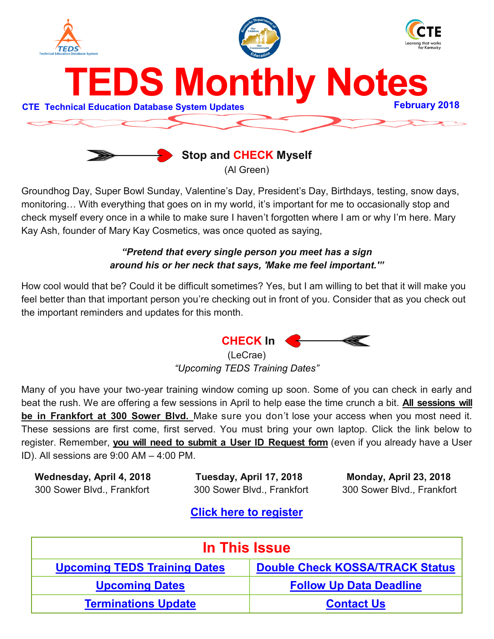<span id="page-0-0"></span>



Groundhog Day, Super Bowl Sunday, Valentine's Day, President's Day, Birthdays, testing, snow days, monitoring… With everything that goes on in my world, it's important for me to occasionally stop and check myself every once in a while to make sure I haven't forgotten where I am or why I'm here. Mary Kay Ash, founder of Mary Kay Cosmetics, was once quoted as saying,

## *"Pretend that every single person you meet has a sign around his or her neck that says, 'Make me feel important.'"*

How cool would that be? Could it be difficult sometimes? Yes, but I am willing to bet that it will make you feel better than that important person you're checking out in front of you. Consider that as you check out the important reminders and updates for this month.



(LeCrae) *"Upcoming TEDS Training Dates"*

Many of you have your two-year training window coming up soon. Some of you can check in early and beat the rush. We are offering a few sessions in April to help ease the time crunch a bit. **All sessions will be in Frankfort at 300 Sower Blvd.** Make sure you don't lose your access when you most need it. These sessions are first come, first served. You must bring your own laptop. Click the link below to register. Remember, **you will need to submit a User ID Request form** (even if you already have a User ID). All sessions are 9:00 AM – 4:00 PM.

 **Wednesday, April 4, 2018 Tuesday, April 17, 2018 Monday, April 23, 2018**  300 Sower Blvd., Frankfort 300 Sower Blvd., Frankfort 300 Sower Blvd., Frankfort

## **[Click here to register](https://www.surveymonkey.com/r/TEDS_April2018)**

| In This Issue                       |                                        |  |
|-------------------------------------|----------------------------------------|--|
| <b>Upcoming TEDS Training Dates</b> | <b>Double Check KOSSA/TRACK Status</b> |  |
| <b>Upcoming Dates</b>               | <b>Follow Up Data Deadline</b>         |  |
| <b>Terminations Update</b>          | <b>Contact Us</b>                      |  |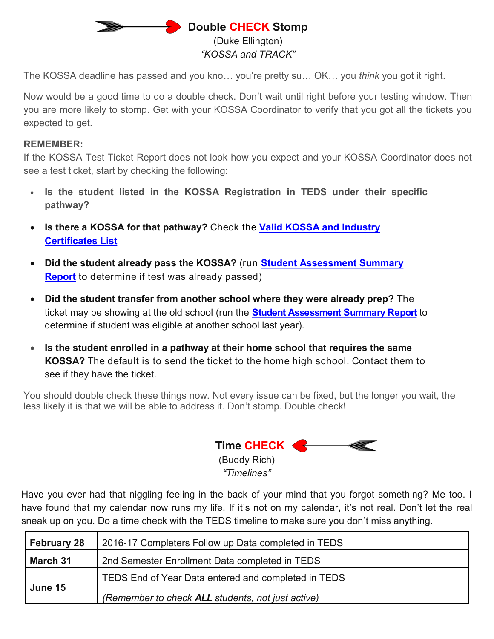## **B** Double CHECK Stomp (Duke Ellington) *"KOSSA and TRACK"*

<span id="page-1-0"></span>The KOSSA deadline has passed and you kno… you're pretty su… OK… you *think* you got it right.

Now would be a good time to do a double check. Don't wait until right before your testing window. Then you are more likely to stomp. Get with your KOSSA Coordinator to verify that you got all the tickets you expected to get.

## **REMEMBER:**

If the KOSSA Test Ticket Report does not look how you expect and your KOSSA Coordinator does not see a test ticket, start by checking the following:

- **Is the student listed in the KOSSA Registration in TEDS under their specific pathway?**
- **Is there a KOSSA for that pathway?** Check [the](https://education.ky.gov/CTE/kossa/Pages/ValidKOSSAList.aspx) **[Valid KOSSA and Industry](https://education.ky.gov/CTE/kossa/Pages/ValidKOSSAList.aspx)  [Certificates List](https://education.ky.gov/CTE/kossa/Pages/ValidKOSSAList.aspx)**
- **Did the student already pass the KOSSA?** (run **[Student Assessment Summary](https://education.ky.gov/CTE/teds/Documents/Recommended_Reports_for_Data_Validation.pdf)  [Report](https://education.ky.gov/CTE/teds/Documents/Recommended_Reports_for_Data_Validation.pdf)** to determine if test was already passed)
- **Did the student transfer from another school where they were already prep?** The ticket may be showing at the old school (run the **[Student Assessment Summary Report](https://education.ky.gov/CTE/teds/Documents/Recommended_Reports_for_Data_Validation.pdf)** to determine if student was eligible at another school last year).
- **Is the student enrolled in a pathway at their home school that requires the same KOSSA?** The default is to send the ticket to the home high school. Contact them to see if they have the ticket.

You should double check these things now. Not every issue can be fixed, but the longer you wait, the less likely it is that we will be able to address it. Don't stomp. Double check!

 **Time CHECK**  (Buddy Rich)

*"Timelines"*

Have you ever had that niggling feeling in the back of your mind that you forgot something? Me too. I have found that my calendar now runs my life. If it's not on my calendar, it's not real. Don't let the real sneak up on you. Do a time check with the TEDS timeline to make sure you don't miss anything.

| <b>February 28</b> | 2016-17 Completers Follow up Data completed in TEDS |  |
|--------------------|-----------------------------------------------------|--|
| March 31           | 2nd Semester Enrollment Data completed in TEDS      |  |
| June 15            | TEDS End of Year Data entered and completed in TEDS |  |
|                    | (Remember to check ALL students, not just active)   |  |